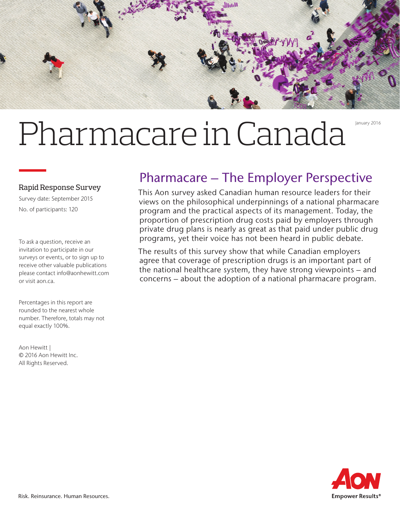

# Pharmacare in Canada January 2016

#### Rapid Response Survey

Survey date: September 2015 No. of participants: 120

To ask a question, receive an invitation to participate in our surveys or events, or to sign up to receive other valuable publications please contact info@aonhewitt.com or visit aon.ca.

Percentages in this report are rounded to the nearest whole number. Therefore, totals may not equal exactly 100%.

Aon Hewitt | © 2016 Aon Hewitt Inc. All Rights Reserved.

## Pharmacare – The Employer Perspective

This Aon survey asked Canadian human resource leaders for their views on the philosophical underpinnings of a national pharmacare program and the practical aspects of its management. Today, the proportion of prescription drug costs paid by employers through private drug plans is nearly as great as that paid under public drug programs, yet their voice has not been heard in public debate.

The results of this survey show that while Canadian employers agree that coverage of prescription drugs is an important part of the national healthcare system, they have strong viewpoints – and concerns – about the adoption of a national pharmacare program.

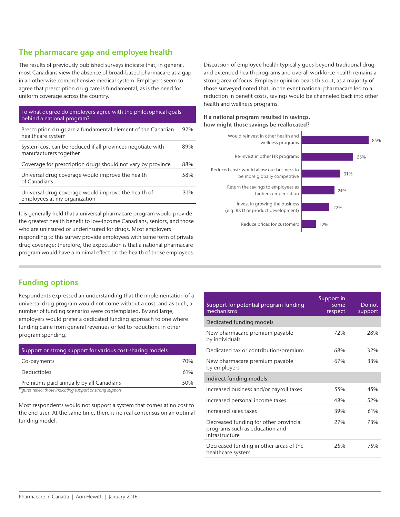#### The pharmacare gap and employee health

The results of previously published surveys indicate that, in general, most Canadians view the absence of broad-based pharmacare as a gap in an otherwise comprehensive medical system. Employers seem to agree that prescription drug care is fundamental, as is the need for uniform coverage across the country.

#### To what degree do employers agree with the philosophical goals behind a national program?

| Prescription drugs are a fundamental element of the Canadian<br>healthcare system    | 92% |
|--------------------------------------------------------------------------------------|-----|
| System cost can be reduced if all provinces negotiate with<br>manufacturers together | 89% |
| Coverage for prescription drugs should not vary by province                          | 88% |
| Universal drug coverage would improve the health<br>of Canadians                     | 58% |
| Universal drug coverage would improve the health of<br>employees at my organization  | 31% |

It is generally held that a universal pharmacare program would provide the greatest health benefit to low-income Canadians, seniors, and those who are uninsured or underinsured for drugs. Most employers responding to this survey provide employees with some form of private drug coverage; therefore, the expectation is that a national pharmacare program would have a minimal effect on the health of those employees. Discussion of employee health typically goes beyond traditional drug and extended health programs and overall workforce health remains a strong area of focus. Employer opinion bears this out, as a majority of those surveyed noted that, in the event national pharmacare led to a reduction in benefit costs, savings would be channeled back into other health and wellness programs.

#### If a national program resulted in savings, how might those savings be reallocated?



### Funding options

Respondents expressed an understanding that the implementation of a universal drug program would not come without a cost, and as such, a number of funding scenarios were contemplated. By and large, employers would prefer a dedicated funding approach to one where funding came from general revenues or led to reductions in other program spending.

| Support or strong support for various cost-sharing models |     |
|-----------------------------------------------------------|-----|
| Co-payments                                               | 70% |
| <b>Deductibles</b>                                        | 61% |
| Premiums paid annually by all Canadians                   | 50% |

*Figures reflect those indicating support or strong support*

Most respondents would not support a system that comes at no cost to the end user. At the same time, there is no real consensus on an optimal funding model.

| Support for potential program funding<br>mechanisms                                        | Support in<br>some<br>respect | Do not<br>support |
|--------------------------------------------------------------------------------------------|-------------------------------|-------------------|
| Dedicated funding models                                                                   |                               |                   |
| New pharmacare premium payable<br>by individuals                                           | 72%                           | 28%               |
| Dedicated tax or contribution/premium                                                      | 68%                           | 32%               |
| New pharmacare premium payable<br>by employers                                             | 67%                           | 33%               |
| Indirect funding models                                                                    |                               |                   |
| Increased business and/or payroll taxes                                                    | 55%                           | 45%               |
| Increased personal income taxes                                                            | 48%                           | 52%               |
| Increased sales taxes                                                                      | 39%                           | 61%               |
| Decreased funding for other provincial<br>programs such as education and<br>infrastructure | 27%                           | 73%               |
| Decreased funding in other areas of the<br>healthcare system                               | 25%                           | 75%               |
|                                                                                            |                               |                   |